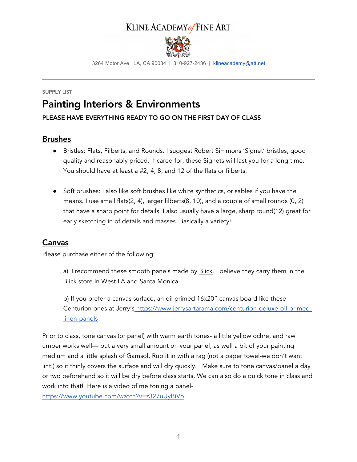### KLINE ACADEMY of FINE ART



3264 Motor Ave. LA, CA 90034 | 310-927-2436 | klineacademy@att.net

### SUPPLY LIST Painting Interiors & Environments

#### PLEASE HAVE EVERYTHING READY TO GO ON THE FIRST DAY OF CLASS

### Brushes

- Bristles: Flats, Filberts, and Rounds. I suggest Robert Simmons 'Signet' bristles, good quality and reasonably priced. If cared for, these Signets will last you for a long time. You should have at least a #2, 4, 8, and 12 of the flats or filberts.
- Soft brushes: I also like soft brushes like white synthetics, or sables if you have the means. I use small flats(2, 4), larger filberts(8, 10), and a couple of small rounds (0, 2) that have a sharp point for details. I also usually have a large, sharp round(12) great for early sketching in of details and masses. Basically a variety!

### Canvas

Please purchase either of the following:

a) I recommend these smooth panels made by **Blick**. I believe they carry them in the Blick store in West LA and Santa Monica.

b) If you prefer a canvas surface, an oil primed 16x20" canvas board like these Centurion ones at Jerry's https://www.jerrysartarama.com/centurion-deluxe-oil-primedlinen-panels

Prior to class, tone canvas (or panel) with warm earth tones- a little yellow ochre, and raw umber works well— put a very small amount on your panel, as well a bit of your painting medium and a little splash of Gamsol. Rub it in with a rag (not a paper towel-we don't want lint!) so it thinly covers the surface and will dry quickly. Make sure to tone canvas/panel a day or two beforehand so it will be dry before class starts. We can also do a quick tone in class and work into that! Here is a video of me toning a panel-

https://www.youtube.com/watch?v=z327uUyBiVo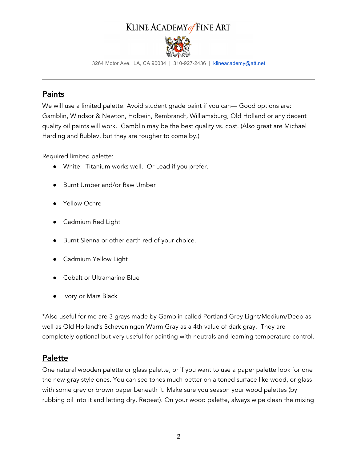# KLINE ACADEMY of FINE ART



3264 Motor Ave. LA, CA 90034 | 310-927-2436 | klineacademy@att.net

#### Paints

We will use a limited palette. Avoid student grade paint if you can— Good options are: Gamblin, Windsor & Newton, Holbein, Rembrandt, Williamsburg, Old Holland or any decent quality oil paints will work. Gamblin may be the best quality vs. cost. (Also great are Michael Harding and Rublev, but they are tougher to come by.)

Required limited palette:

- White: Titanium works well. Or Lead if you prefer.
- Burnt Umber and/or Raw Umber
- Yellow Ochre
- Cadmium Red Light
- Burnt Sienna or other earth red of your choice.
- Cadmium Yellow Light
- Cobalt or Ultramarine Blue
- Ivory or Mars Black

\*Also useful for me are 3 grays made by Gamblin called Portland Grey Light/Medium/Deep as well as Old Holland's Scheveningen Warm Gray as a 4th value of dark gray. They are completely optional but very useful for painting with neutrals and learning temperature control.

### Palette

One natural wooden palette or glass palette, or if you want to use a paper palette look for one the new gray style ones. You can see tones much better on a toned surface like wood, or glass with some grey or brown paper beneath it. Make sure you season your wood palettes (by rubbing oil into it and letting dry. Repeat). On your wood palette, always wipe clean the mixing